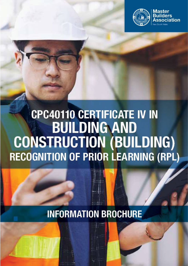

# **CPC40110 CERTIFICATE IV IN BUILDING AND CONSTRUCTION (BUILDING) RECOGNITION OF PRIOR LEARNING (RPL)**

**INFORMATION BROCHURE**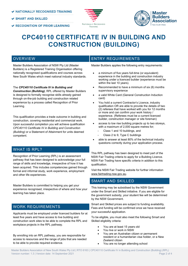- **SMART AND SKILLED**
- **RECOGNITION OF PRIOR LEARNING**





## **CPC40110 CERTIFICATE IV IN BUILDING AND CONSTRUCTION (BUILDING)**

#### **OVERVIEW**

Master Builders Association of NSW Pty Ltd (Master Builders) is a Registered Training Organisation offering nationally recognised qualifications and courses across New South Wales which meet national industry standards.

The *CPC40110 Certificate IV in Building and* 

*Construction (Building),* RPL offered by Master Builders is designed to formally recognise skills already gained through on-the-job building and construction related experience by a process called Recognition of Prior Learning.

This qualification provides a trade outcome in building and construction, covering residential and commercial work. Upon successful completion you will achieve qualification *CPC40110 Certificate IV in Building and Construction (Building)* or a Statement of Attainment for units deemed competent.

#### WHAT IS RPL?

Recognition of Prior Learning (RPL) is an assessment pathway that has been designed to acknowledge your full range of skills and knowledge, irrespective of how it has been acquired. This includes competencies gained through formal and informal study, work experience, employment and other life experiences.

Master Builders is committed to helping you get your experience recognised, irrespective of where and how your learning has taken place.

#### WORK REQUIREMENTS

Applicants must be employed under licenced builders for at least five years and have access to live building and construction work sites to be able to complete the RPL and workplace projects in the RPL pathway.

By enrolling into an RPL pathway, you are responsible for access to resources and the range of jobs that are needed to be able to provide required evidence.

#### ENTRY REQUIREMENTS

Master Builders applies the following entry requirements:

- a minimum of five years full-time (or equivalent) experience in the building and construction industry working under a licenced builder (experience must be within the last 10 years).
- Recommended to have a minimum of six (6) months supervisory experience
- a valid White Card (General Construction Induction card)
- You hold a current Contractor's Licence, industry qualification OR are able to provide the details of two (2) referees that have worked with you for 12 months or more and can confirm your work history / experience. (Referees must be a current licenced builder, construction manager or site foreman)
- access to low rise building projects up to two storeys, with a maximum of 2,000 square metres for;
	- Class 1 and 10 buildings, and
	- Class 2 to 9, Type C buildings
- able to answer at least 80% of the technical industry questions correctly during your application process.

This RPL pathway has been designed to meet part of the NSW Fair Trading criteria to apply for a Building Licence. NSW Fair Trading have specific criteria in addition to this qualification.

Visit the NSW Fair Trading website for further information www.fairtrading.nsw.gov.au.

#### SMART AND SKILLED

This training may be subsidised by the NSW Government under the Smart and Skilled initiative. If you are eligible for the government subsidy, your student fee will be determined by the NSW Government.

Smart and Skilled prices are subject to funding availability. Fees and funding will be confirmed once we have received your successful application.

To be eligible, you must also meet the following Smart and Skilled eligibility criteria:

- You are at least 15 years old
- You live or work in NSW
- You are an Australian citizen or permanent resident or a humanitarian visa holder, or a New Zealand citizen
- You are no longer attending school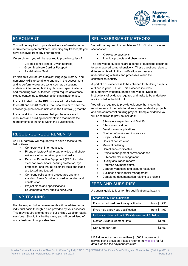

#### ENROLMENT

You will be required to provide evidence of meeting entry requirements upon enrolment, including any transcripts you have achieved from any prior training.

On enrolment, you will be required to provide copies of:

- Drivers licence (photo ID with address)
- Green Medicare Card or Passport
- A valid White Card

Participants will require sufficient language, literacy, and numeracy skills to be able to engage in the assessment and to perform workplace tasks such as calculating materials, interpreting building plans and specifications, and recording work outcomes. If you require assistance, please contact us to discuss options available to you.

It is anticipated that the RPL process will take between three (3) and six (6) months. You should aim to have the knowledge questions completed in the first two (2) months.

It is a condition of enrolment that you have access to resources and building documentation that meets the requirements of the units within the qualification.

#### RESOURCE REQUIREMENTS

An RPL pathway will require you to have access to the below items:

- Computer with internet access
- Phone or laptop/iPad to gather video and photo evidence of undertaking practical tasks
- Personal Protective Equipment (PPE) including steel cap work boots, hearing protection, eye protection, and that all electrical tools and leads are tested and tagged
- Company policies and procedures and any standard forms / contracts used in building and construction.
- Project plans and specifications
- Equipment to carry out site surveying

#### GAP TRAINING

Gap training or further assessments will be advised on an individual basis through a plan provided by your assessor. This may require attendance at our online / webinar tutorial sessions. Should this be the case, you will be advised of any adjustment in applicable fees.

#### RPL ASSESSMENT METHODS

You will be required to complete an RPL Kit which includes sections for:

- Knowledge questions
- Practical projects and observations

The knowledge questions are a series of questions designed to be answered comprehensively. These questions relate to different units within the qualification and assess understanding of tasks and processes within the construction industry.

A portfolio of evidence is to be collected for building projects outlined in your RPL kit. This evidence includes documentary evidence, photos and videos. Detailed instructions of evidence required and tasks to be undertaken are included in the RPL Kit.

You will be required to provide evidence that meets the requirements of the units for at least two residential projects and one commercial building project. Sample evidence you will be required to provide includes:

- Site safety inspection and SWMS
- Site survey / set out
- Development applications
- Contract of works and insurances
- Project schedules
- Costs of construction
- **Material ordering**
- Compliance certificates
- Project management correspondence
- Sub-contractor management
- Quality assurance reports
- Progress payment claims
- Contract variations and dispute resolution
- Business and financial management
- Completed documentation relating to projects

#### FEES AND SUBSIDIES

A general guide to fees for this qualification pathway is:

| <b>Smart and Skilled subsidised</b>               |              |
|---------------------------------------------------|--------------|
| If you do not hold previous qualification         | from \$1,250 |
| If you hold a previous qualification              | from \$1,460 |
| Indicative pricing without NSW Government Subsidy |              |
| Master Builders Member Rate                       | \$3,500      |
| Non-Member Rate                                   | \$3.850      |

MBA does not accept more than \$1,500 in advance of service being provided. Please refer to th[e website](https://www.mbansw.asn.au/training/my-office-or-worksite/sun-01112020-1111/c4bcrpl-cpc40110-certificate-iv-building-and) for full details on the fee payment structure.